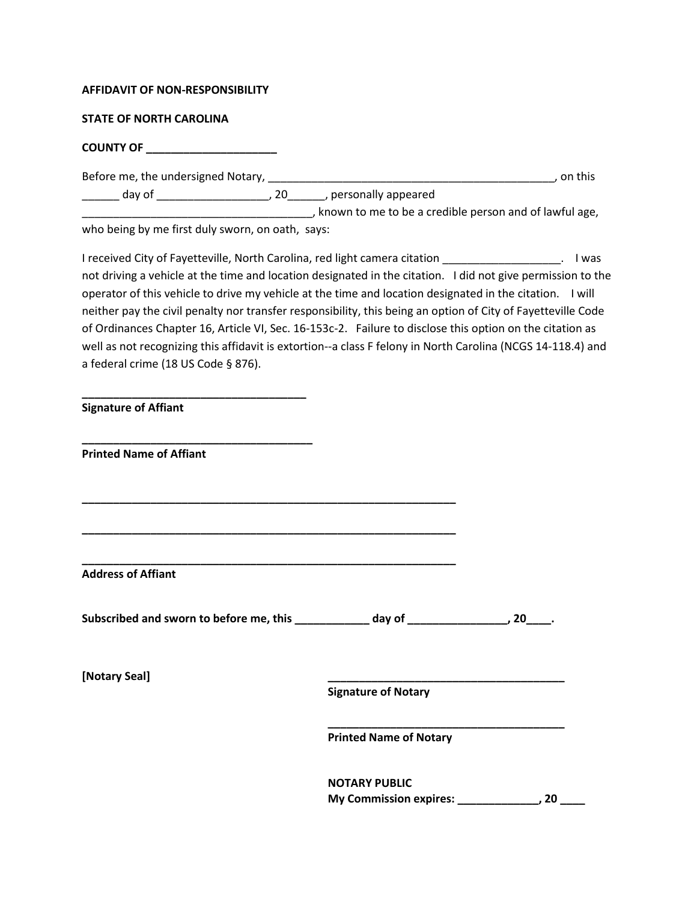## **AFFIDAVIT OF NON-RESPONSIBILITY**

## **STATE OF NORTH CAROLINA**

## **COUNTY OF \_\_\_\_\_\_\_\_\_\_\_\_\_\_\_\_\_\_\_\_\_**

Before me, the undersigned Notary, \_\_\_\_\_\_\_\_\_\_\_\_\_\_\_\_\_\_\_\_\_\_\_\_\_\_\_\_\_\_\_\_\_\_\_\_\_\_\_\_\_\_\_\_\_\_, on this

\_\_\_\_\_\_ day of \_\_\_\_\_\_\_\_\_\_\_\_\_\_\_\_\_\_, 20\_\_\_\_\_\_, personally appeared

\_\_\_\_\_\_\_\_\_\_\_\_\_\_\_\_\_\_\_\_\_\_\_\_\_\_\_\_\_\_\_\_\_\_\_\_\_, known to me to be a credible person and of lawful age, who being by me first duly sworn, on oath, says:

I received City of Fayetteville, North Carolina, red light camera citation \_\_\_\_\_\_\_\_\_\_\_\_\_\_\_\_\_\_\_. I was not driving a vehicle at the time and location designated in the citation. I did not give permission to the operator of this vehicle to drive my vehicle at the time and location designated in the citation. I will neither pay the civil penalty nor transfer responsibility, this being an option of City of Fayetteville Code of Ordinances Chapter 16, Article VI, Sec. 16-153c-2. Failure to disclose this option on the citation as well as not recognizing this affidavit is extortion--a class F felony in North Carolina (NCGS 14-118.4) and a federal crime (18 US Code § 876).

**Signature of Affiant**

**\_\_\_\_\_\_\_\_\_\_\_\_\_\_\_\_\_\_\_\_\_\_\_\_\_\_\_\_\_\_\_\_\_\_\_\_**

**\_\_\_\_\_\_\_\_\_\_\_\_\_\_\_\_\_\_\_\_\_\_\_\_\_\_\_\_\_\_\_\_\_\_\_\_\_**

**Printed Name of Affiant**

**Address of Affiant**

**Subscribed and sworn to before me, this \_\_\_\_\_\_\_\_\_\_\_\_ day of \_\_\_\_\_\_\_\_\_\_\_\_\_\_\_\_, 20\_\_\_\_.**

**\_\_\_\_\_\_\_\_\_\_\_\_\_\_\_\_\_\_\_\_\_\_\_\_\_\_\_\_\_\_\_\_\_\_\_\_\_\_\_\_\_\_\_\_\_\_\_\_\_\_\_\_\_\_\_\_\_\_\_\_**

**\_\_\_\_\_\_\_\_\_\_\_\_\_\_\_\_\_\_\_\_\_\_\_\_\_\_\_\_\_\_\_\_\_\_\_\_\_\_\_\_\_\_\_\_\_\_\_\_\_\_\_\_\_\_\_\_\_\_\_\_**

**\_\_\_\_\_\_\_\_\_\_\_\_\_\_\_\_\_\_\_\_\_\_\_\_\_\_\_\_\_\_\_\_\_\_\_\_\_\_\_\_\_\_\_\_\_\_\_\_\_\_\_\_\_\_\_\_\_\_\_\_**

**[Notary Seal] \_\_\_\_\_\_\_\_\_\_\_\_\_\_\_\_\_\_\_\_\_\_\_\_\_\_\_\_\_\_\_\_\_\_\_\_\_\_**

**Signature of Notary**

**Printed Name of Notary**

**NOTARY PUBLIC My Commission expires: \_\_\_\_\_\_\_\_\_\_\_\_\_, 20 \_\_\_\_**

**\_\_\_\_\_\_\_\_\_\_\_\_\_\_\_\_\_\_\_\_\_\_\_\_\_\_\_\_\_\_\_\_\_\_\_\_\_\_**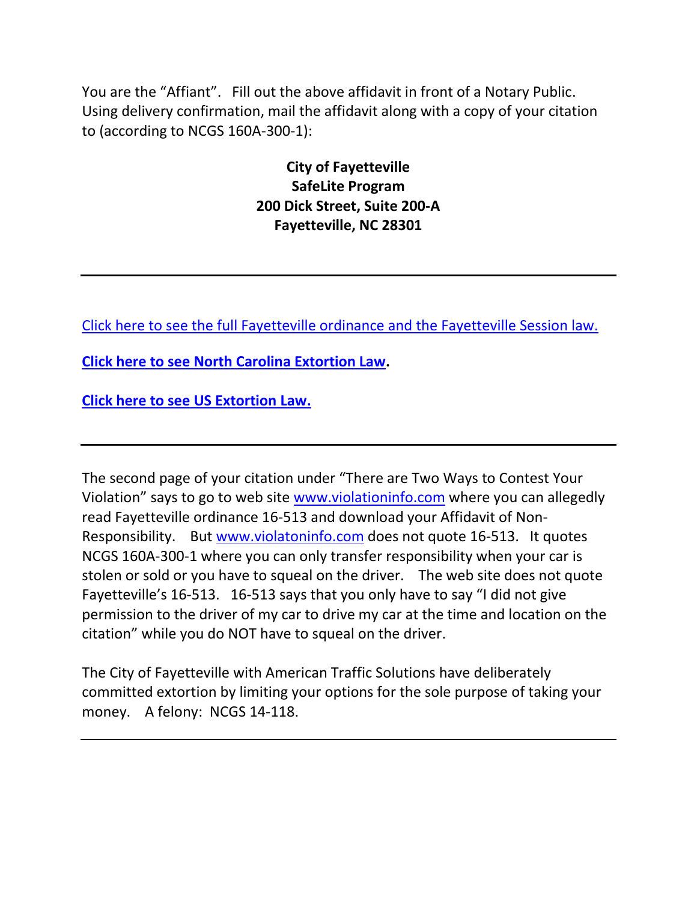You are the "Affiant". Fill out the above affidavit in front of a Notary Public. Using delivery confirmation, mail the affidavit along with a copy of your citation to (according to NCGS 160A-300-1):

> **City of Fayetteville SafeLite Program 200 Dick Street, Suite 200-A Fayetteville, NC 28301**

[Click here to see the full Fayetteville ordinance and the Fayetteville Session law.](http://redlightrobber.com/red/links_pdf/north-carolina/Fayetteville-Illegal-Citations.pdf)

**[Click here to see North Carolina Extortion Law.](https://www.ncga.state.nc.us/enactedlegislation/statutes/html/bysection/chapter_14/gs_14-118.4.html)**

**[Click here to see US Extortion](https://www.law.cornell.edu/uscode/text/18/876) Law.**

The second page of your citation under "There are Two Ways to Contest Your Violation" says to go to web site [www.violationinfo.com](http://www.violationinfo.com/) where you can allegedly read Fayetteville ordinance 16-513 and download your Affidavit of Non-Responsibility. But [www.violatoninfo.com](http://www.violatoninfo.com/) does not quote 16-513. It quotes NCGS 160A-300-1 where you can only transfer responsibility when your car is stolen or sold or you have to squeal on the driver. The web site does not quote Fayetteville's 16-513. 16-513 says that you only have to say "I did not give permission to the driver of my car to drive my car at the time and location on the citation" while you do NOT have to squeal on the driver.

The City of Fayetteville with American Traffic Solutions have deliberately committed extortion by limiting your options for the sole purpose of taking your money. A felony: NCGS 14-118.